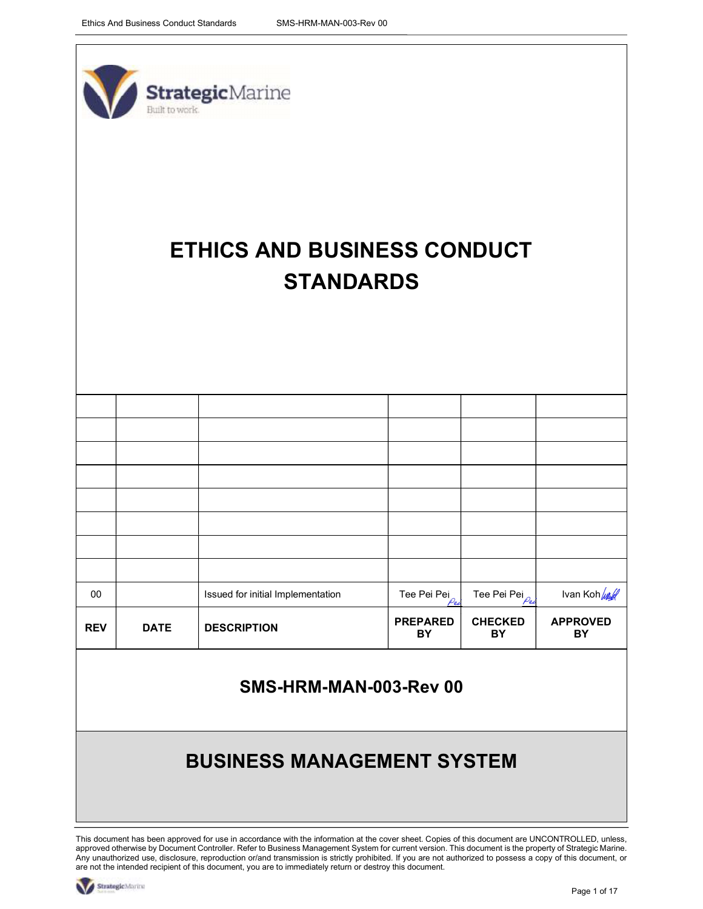

# ETHICS AND BUSINESS CONDUCT **STANDARDS**

| $00\,$          |             | Issued for initial Implementation                                                                                                                                                                                                                                                                          | Tee Pei Pei           | Tee Pei Pei $\frac{\rho_{\epsilon\epsilon}}{\rho_{\epsilon\epsilon}}$ | Ivan Koh <i>lurl</i>  |
|-----------------|-------------|------------------------------------------------------------------------------------------------------------------------------------------------------------------------------------------------------------------------------------------------------------------------------------------------------------|-----------------------|-----------------------------------------------------------------------|-----------------------|
| <b>REV</b>      | <b>DATE</b> | <b>DESCRIPTION</b>                                                                                                                                                                                                                                                                                         | <b>PREPARED</b><br>BY | <b>CHECKED</b><br>BY                                                  | <b>APPROVED</b><br>BY |
|                 |             | SMS-HRM-MAN-003-Rev 00                                                                                                                                                                                                                                                                                     |                       |                                                                       |                       |
|                 |             | <b>BUSINESS MANAGEMENT SYSTEM</b>                                                                                                                                                                                                                                                                          |                       |                                                                       |                       |
|                 |             |                                                                                                                                                                                                                                                                                                            |                       |                                                                       |                       |
|                 |             |                                                                                                                                                                                                                                                                                                            |                       |                                                                       |                       |
|                 |             | This document has been approved for use in accordance with the information at the cover sheet. Copies of this document are UNCONTROLLED, unless,<br>approved otherwise by Document Controller. Refer to Business Management System for current version. This document is the property of Strategic Marine. |                       |                                                                       |                       |
| StrategicMarine |             | Any unauthorized use, disclosure, reproduction or/and transmission is strictly prohibited. If you are not authorized to possess a copy of this document, or<br>are not the intended recipient of this document, you are to immediately return or destroy this document.                                    |                       |                                                                       |                       |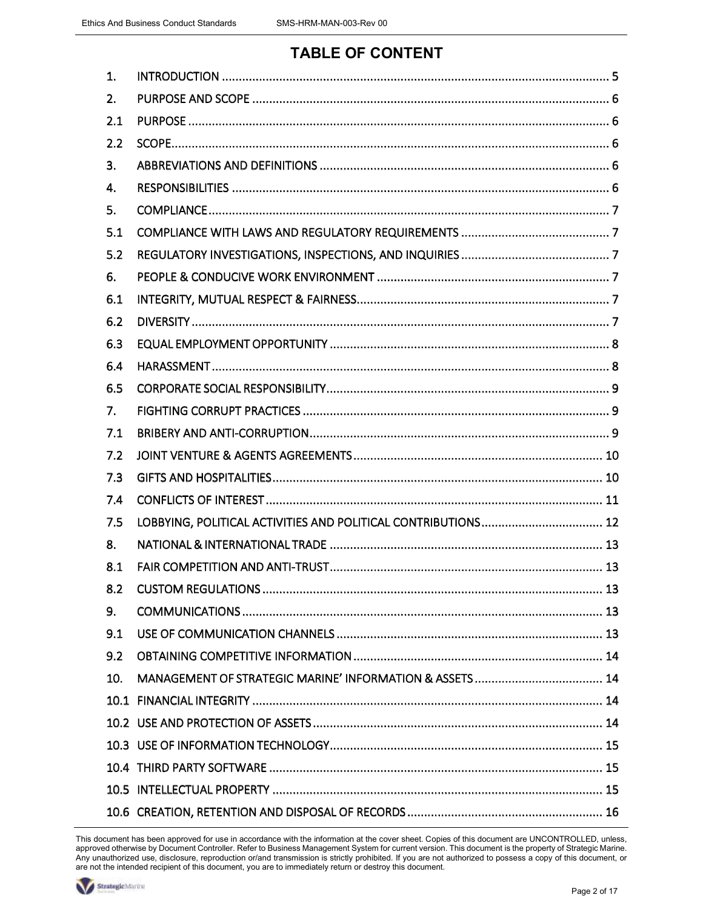## TABLE OF CONTENT

| 1.  |  |
|-----|--|
| 2.  |  |
| 2.1 |  |
| 2.2 |  |
| 3.  |  |
| 4.  |  |
| 5.  |  |
| 5.1 |  |
| 5.2 |  |
| 6.  |  |
| 6.1 |  |
| 6.2 |  |
| 6.3 |  |
| 6.4 |  |
| 6.5 |  |
| 7.  |  |
| 7.1 |  |
| 7.2 |  |
| 7.3 |  |
| 7.4 |  |
| 7.5 |  |
| 8.  |  |
| 8.1 |  |
| 8.2 |  |
| 9.  |  |
| 9.1 |  |
| 9.2 |  |
| 10. |  |
|     |  |
|     |  |
|     |  |
|     |  |
|     |  |
|     |  |

This document has been approved for use in accordance with the information at the cover sheet. Copies of this document are UNCONTROLLED, unless, approved otherwise by Document Controller. Refer to Business Management System for current version. This document is the property of Strategic Marine. Any unauthorized use, disclosure, reproduction or/and transmission is strictly prohibited. If you are not authorized to possess a copy of this document, or are not the intended recipient of this document, you are to immediately return or destroy this document.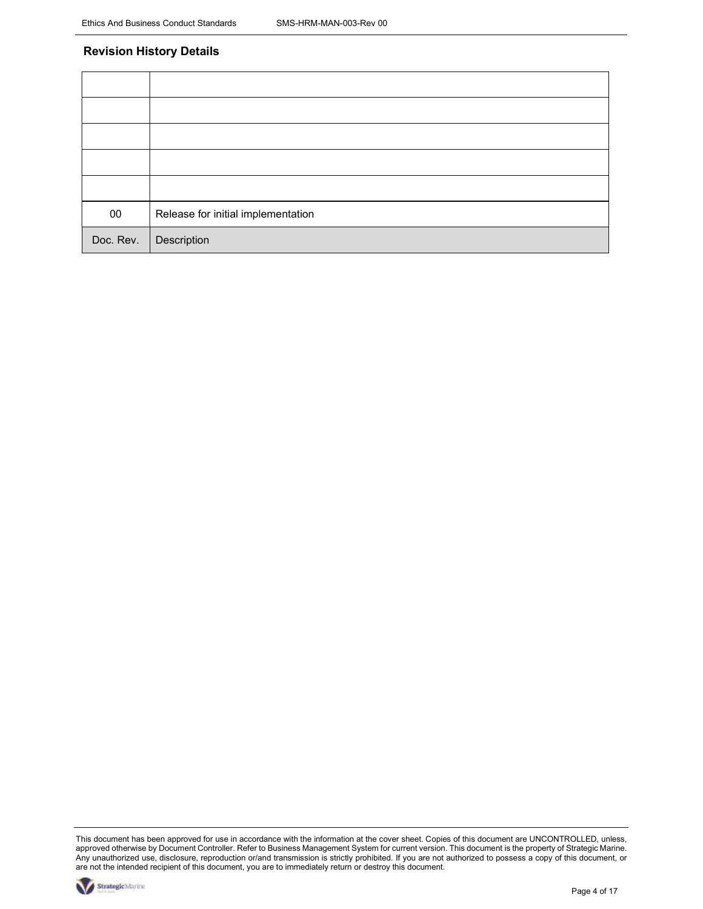#### Revision History Details

| $00\,$    | Release for initial implementation |
|-----------|------------------------------------|
| Doc. Rev. | Description                        |

This document has been approved for use in accordance with the information at the cover sheet. Copies of this document are UNCONTROLLED, unless, approved otherwise by Document Controller. Refer to Business Management System for current version. This document is the property of Strategic Marine. Any unauthorized use, disclosure, reproduction or/and transmission is strictly prohibited. If you are not authorized to possess a copy of this document, or are not the intended recipient of this document, you are to immediately return or destroy this document.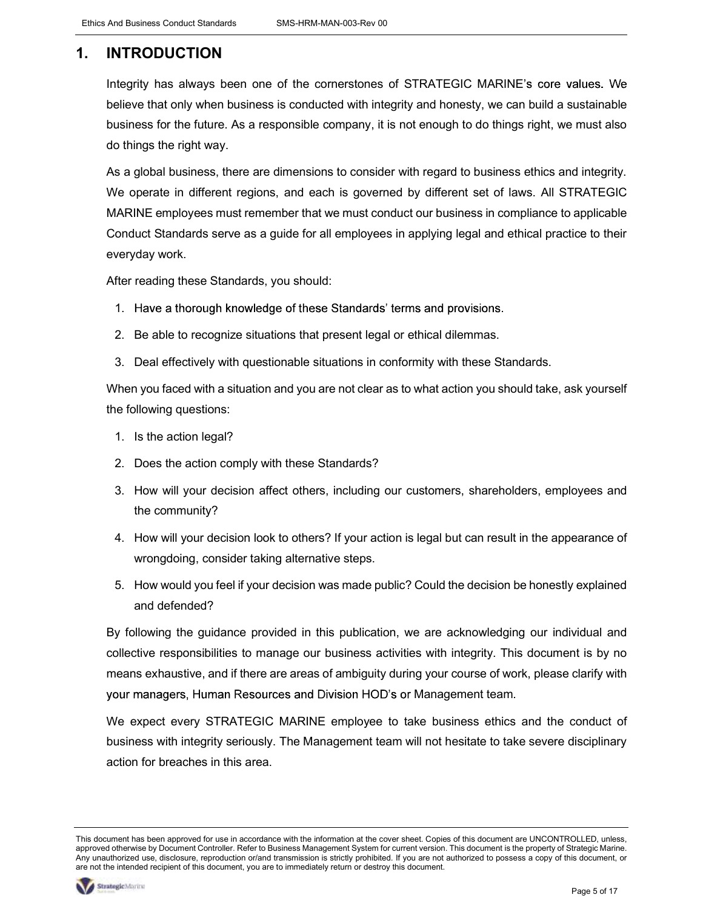## 1. INTRODUCTION

Integrity has always been one of the cornerstones of STRATEGIC MARINE's core values. We believe that only when business is conducted with integrity and honesty, we can build a sustainable business for the future. As a responsible company, it is not enough to do things right, we must also do things the right way.

As a global business, there are dimensions to consider with regard to business ethics and integrity. We operate in different regions, and each is governed by different set of laws. All STRATEGIC MARINE employees must remember that we must conduct our business in compliance to applicable Conduct Standards serve as a guide for all employees in applying legal and ethical practice to their everyday work.

After reading these Standards, you should:

- 
- 1. Have a thorough knowledge of these Standards' terms and provisions.<br>2. Be able to recognize situations that present legal or ethical dilemmas.
- 3. Deal effectively with questionable situations in conformity with these Standards.

When you faced with a situation and you are not clear as to what action you should take, ask yourself the following questions:

- 1. Is the action legal?
- 2. Does the action comply with these Standards?
- 3. How will your decision affect others, including our customers, shareholders, employees and the community?
- 4. How will your decision look to others? If your action is legal but can result in the appearance of wrongdoing, consider taking alternative steps.
- 5. How would you feel if your decision was made public? Could the decision be honestly explained and defended?

By following the guidance provided in this publication, we are acknowledging our individual and collective responsibilities to manage our business activities with integrity. This document is by no means exhaustive, and if there are areas of ambiguity during your course of work, please clarify with your managers, Human Resources and Division HOD's or Management team.

We expect every STRATEGIC MARINE employee to take business ethics and the conduct of business with integrity seriously. The Management team will not hesitate to take severe disciplinary action for breaches in this area.

This document has been approved for use in accordance with the information at the cover sheet. Copies of this document are UNCONTROLLED, unless, approved otherwise by Document Controller. Refer to Business Management System for current version. This document is the property of Strategic Marine. Any unauthorized use, disclosure, reproduction or/and transmission is strictly prohibited. If you are not authorized to possess a copy of this document, or are not the intended recipient of this document, you are to immediately return or destroy this document.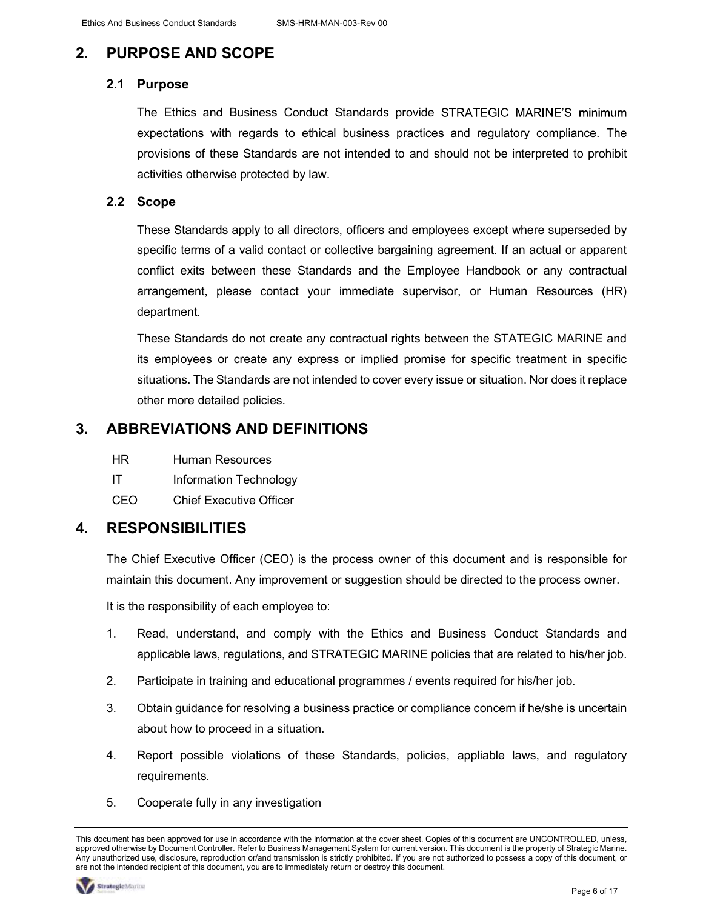## 2. PURPOSE AND SCOPE

#### 2.1 Purpose

The Ethics and Business Conduct Standards provide STRATEGIC MARINE'S minimum expectations with regards to ethical business practices and regulatory compliance. The provisions of these Standards are not intended to and should not be interpreted to prohibit activities otherwise protected by law.

#### 2.2 Scope

These Standards apply to all directors, officers and employees except where superseded by specific terms of a valid contact or collective bargaining agreement. If an actual or apparent conflict exits between these Standards and the Employee Handbook or any contractual arrangement, please contact your immediate supervisor, or Human Resources (HR) department.

These Standards do not create any contractual rights between the STATEGIC MARINE and its employees or create any express or implied promise for specific treatment in specific situations. The Standards are not intended to cover every issue or situation. Nor does it replace other more detailed policies.

### 3. ABBREVIATIONS AND DEFINITIONS

- HR Human Resources
- IT Information Technology
- CEO Chief Executive Officer

### 4. RESPONSIBILITIES

The Chief Executive Officer (CEO) is the process owner of this document and is responsible for maintain this document. Any improvement or suggestion should be directed to the process owner.

It is the responsibility of each employee to:

- 1. Read, understand, and comply with the Ethics and Business Conduct Standards and applicable laws, regulations, and STRATEGIC MARINE policies that are related to his/her job.
- 2. Participate in training and educational programmes / events required for his/her job.
- 3. Obtain guidance for resolving a business practice or compliance concern if he/she is uncertain about how to proceed in a situation.
- 4. Report possible violations of these Standards, policies, appliable laws, and regulatory requirements.
- 5. Cooperate fully in any investigation

This document has been approved for use in accordance with the information at the cover sheet. Copies of this document are UNCONTROLLED, unless, approved otherwise by Document Controller. Refer to Business Management System for current version. This document is the property of Strategic Marine. Any unauthorized use, disclosure, reproduction or/and transmission is strictly prohibited. If you are not authorized to possess a copy of this document, or are not the intended recipient of this document, you are to immediately return or destroy this document.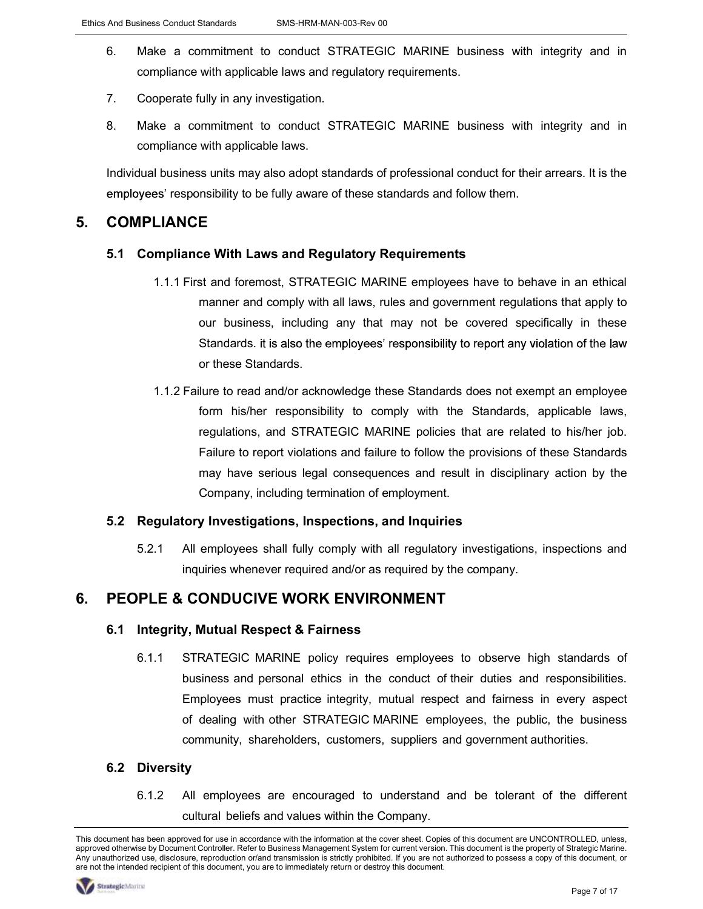- 6. Make a commitment to conduct STRATEGIC MARINE business with integrity and in compliance with applicable laws and regulatory requirements.
- 7. Cooperate fully in any investigation.
- 8. Make a commitment to conduct STRATEGIC MARINE business with integrity and in compliance with applicable laws.

Individual business units may also adopt standards of professional conduct for their arrears. It is the employees' responsibility to be fully aware of these standards and follow them.

#### 5. COMPLIANCE

#### 5.1 Compliance With Laws and Regulatory Requirements

- 1.1.1 First and foremost, STRATEGIC MARINE employees have to behave in an ethical manner and comply with all laws, rules and government regulations that apply to our business, including any that may not be covered specifically in these Standards. it is also the employees' responsibility to report any violation of the law or these Standards.
- 1.1.2 Failure to read and/or acknowledge these Standards does not exempt an employee form his/her responsibility to comply with the Standards, applicable laws, regulations, and STRATEGIC MARINE policies that are related to his/her job. Failure to report violations and failure to follow the provisions of these Standards may have serious legal consequences and result in disciplinary action by the Company, including termination of employment.

#### 5.2 Regulatory Investigations, Inspections, and Inquiries

5.2.1 All employees shall fully comply with all regulatory investigations, inspections and inquiries whenever required and/or as required by the company.

### 6. PEOPLE & CONDUCIVE WORK ENVIRONMENT

#### 6.1 Integrity, Mutual Respect & Fairness

6.1.1 STRATEGIC MARINE policy requires employees to observe high standards of business and personal ethics in the conduct of their duties and responsibilities. Employees must practice integrity, mutual respect and fairness in every aspect of dealing with other STRATEGIC MARINE employees, the public, the business community, shareholders, customers, suppliers and government authorities.

#### 6.2 Diversity

6.1.2 All employees are encouraged to understand and be tolerant of the different cultural beliefs and values within the Company.

This document has been approved for use in accordance with the information at the cover sheet. Copies of this document are UNCONTROLLED, unless, approved otherwise by Document Controller. Refer to Business Management System for current version. This document is the property of Strategic Marine. Any unauthorized use, disclosure, reproduction or/and transmission is strictly prohibited. If you are not authorized to possess a copy of this document, or are not the intended recipient of this document, you are to immediately return or destroy this document.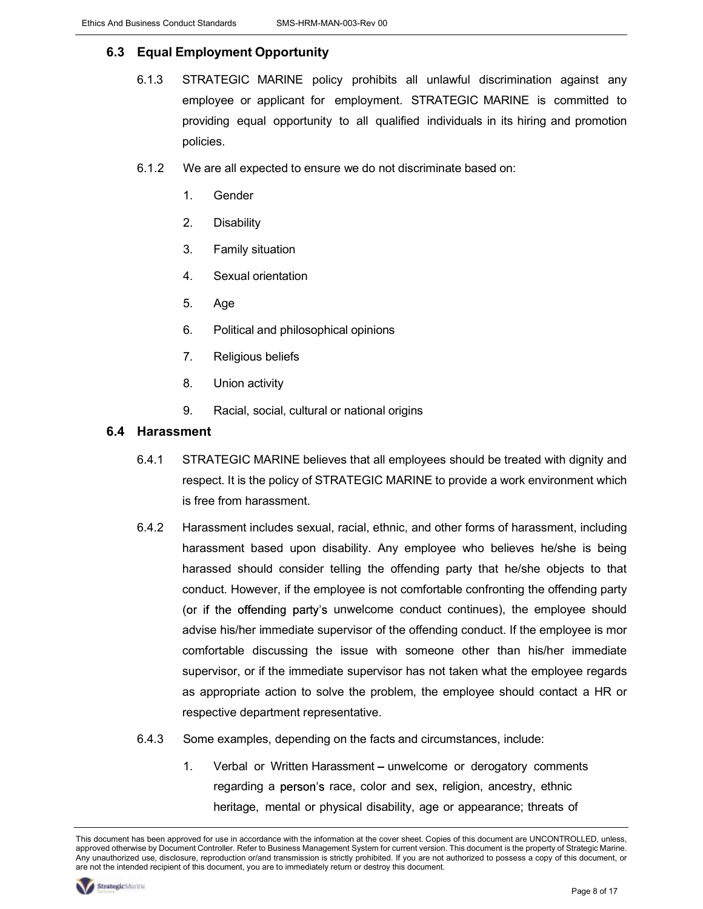#### 6.3 Equal Employment Opportunity

- 6.1.3 STRATEGIC MARINE policy prohibits all unlawful discrimination against any employee or applicant for employment. STRATEGIC MARINE is committed to providing equal opportunity to all qualified individuals in its hiring and promotion policies.
- 6.1.2 We are all expected to ensure we do not discriminate based on:
	- 1. Gender
	- 2. Disability
	- 3. Family situation
	- 4. Sexual orientation
	- 5. Age
	- 6. Political and philosophical opinions
	- 7. Religious beliefs
	- 8. Union activity
	- 9. Racial, social, cultural or national origins

#### 6.4 Harassment

- 6.4.1 STRATEGIC MARINE believes that all employees should be treated with dignity and respect. It is the policy of STRATEGIC MARINE to provide a work environment which is free from harassment.
- 6.4.2 Harassment includes sexual, racial, ethnic, and other forms of harassment, including harassment based upon disability. Any employee who believes he/she is being harassed should consider telling the offending party that he/she objects to that conduct. However, if the employee is not comfortable confronting the offending party (or if the offending party's unwelcome conduct continues), the employee should advise his/her immediate supervisor of the offending conduct. If the employee is mor comfortable discussing the issue with someone other than his/her immediate supervisor, or if the immediate supervisor has not taken what the employee regards as appropriate action to solve the problem, the employee should contact a HR or respective department representative.
- 6.4.3 Some examples, depending on the facts and circumstances, include:
	- 1. Verbal or Written Harassment unwelcome or derogatory comments regarding a person's race, color and sex, religion, ancestry, ethnic heritage, mental or physical disability, age or appearance; threats of

This document has been approved for use in accordance with the information at the cover sheet. Copies of this document are UNCONTROLLED, unless, approved otherwise by Document Controller. Refer to Business Management System for current version. This document is the property of Strategic Marine. Any unauthorized use, disclosure, reproduction or/and transmission is strictly prohibited. If you are not authorized to possess a copy of this document, or are not the intended recipient of this document, you are to immediately return or destroy this document.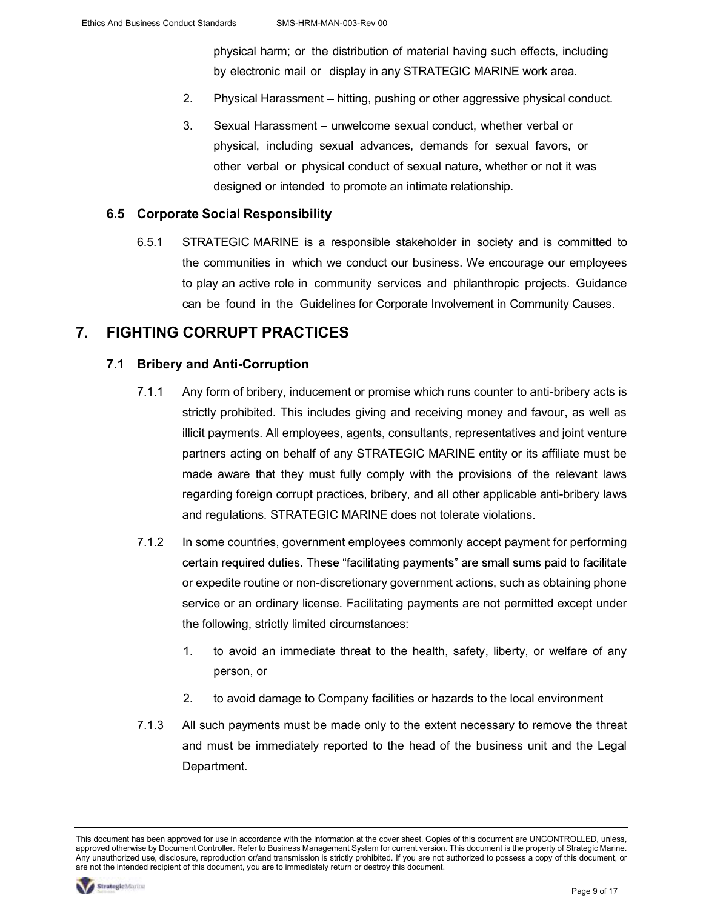physical harm; or the distribution of material having such effects, including by electronic mail or display in any STRATEGIC MARINE work area.

- 2. Physical Harassment hitting, pushing or other aggressive physical conduct.
- 3. Sexual Harassment unwelcome sexual conduct, whether verbal or physical, including sexual advances, demands for sexual favors, or other verbal or physical conduct of sexual nature, whether or not it was designed or intended to promote an intimate relationship.

#### 6.5 Corporate Social Responsibility

6.5.1 STRATEGIC MARINE is a responsible stakeholder in society and is committed to the communities in which we conduct our business. We encourage our employees to play an active role in community services and philanthropic projects. Guidance can be found in the Guidelines for Corporate Involvement in Community Causes.

#### 7. FIGHTING CORRUPT PRACTICES

#### 7.1 Bribery and Anti-Corruption

- 7.1.1 Any form of bribery, inducement or promise which runs counter to anti-bribery acts is strictly prohibited. This includes giving and receiving money and favour, as well as illicit payments. All employees, agents, consultants, representatives and joint venture partners acting on behalf of any STRATEGIC MARINE entity or its affiliate must be made aware that they must fully comply with the provisions of the relevant laws regarding foreign corrupt practices, bribery, and all other applicable anti-bribery laws and regulations. STRATEGIC MARINE does not tolerate violations.
- 7.1.2 In some countries, government employees commonly accept payment for performing certain required duties. These "facilitating payments" are small sums paid to facilitate or expedite routine or non-discretionary government actions, such as obtaining phone service or an ordinary license. Facilitating payments are not permitted except under the following, strictly limited circumstances:
	- 1. to avoid an immediate threat to the health, safety, liberty, or welfare of any person, or
	- 2. to avoid damage to Company facilities or hazards to the local environment
- 7.1.3 All such payments must be made only to the extent necessary to remove the threat and must be immediately reported to the head of the business unit and the Legal Department.

This document has been approved for use in accordance with the information at the cover sheet. Copies of this document are UNCONTROLLED, unless, approved otherwise by Document Controller. Refer to Business Management System for current version. This document is the property of Strategic Marine. Any unauthorized use, disclosure, reproduction or/and transmission is strictly prohibited. If you are not authorized to possess a copy of this document, or are not the intended recipient of this document, you are to immediately return or destroy this document.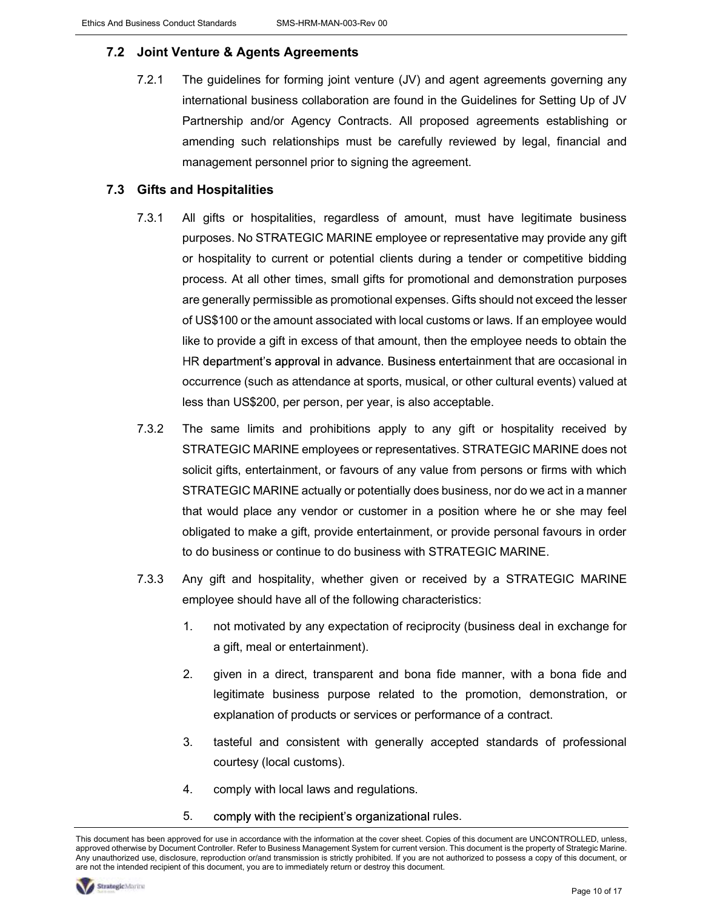#### 7.2 Joint Venture & Agents Agreements

7.2.1 The guidelines for forming joint venture (JV) and agent agreements governing any international business collaboration are found in the Guidelines for Setting Up of JV Partnership and/or Agency Contracts. All proposed agreements establishing or amending such relationships must be carefully reviewed by legal, financial and management personnel prior to signing the agreement.

#### 7.3 Gifts and Hospitalities

- 7.3.1 All gifts or hospitalities, regardless of amount, must have legitimate business purposes. No STRATEGIC MARINE employee or representative may provide any gift or hospitality to current or potential clients during a tender or competitive bidding process. At all other times, small gifts for promotional and demonstration purposes are generally permissible as promotional expenses. Gifts should not exceed the lesser of US\$100 or the amount associated with local customs or laws. If an employee would like to provide a gift in excess of that amount, then the employee needs to obtain the HR department's approval in advance. Business entertainment that are occasional in occurrence (such as attendance at sports, musical, or other cultural events) valued at less than US\$200, per person, per year, is also acceptable.
- 7.3.2 The same limits and prohibitions apply to any gift or hospitality received by STRATEGIC MARINE employees or representatives. STRATEGIC MARINE does not solicit gifts, entertainment, or favours of any value from persons or firms with which STRATEGIC MARINE actually or potentially does business, nor do we act in a manner that would place any vendor or customer in a position where he or she may feel obligated to make a gift, provide entertainment, or provide personal favours in order to do business or continue to do business with STRATEGIC MARINE.
- 7.3.3 Any gift and hospitality, whether given or received by a STRATEGIC MARINE employee should have all of the following characteristics:
	- 1. not motivated by any expectation of reciprocity (business deal in exchange for a gift, meal or entertainment).
	- 2. given in a direct, transparent and bona fide manner, with a bona fide and legitimate business purpose related to the promotion, demonstration, or explanation of products or services or performance of a contract.
	- 3. tasteful and consistent with generally accepted standards of professional courtesy (local customs).
	- 4. comply with local laws and regulations.
	- 5. comply with the recipient's organizational rules.

This document has been approved for use in accordance with the information at the cover sheet. Copies of this document are UNCONTROLLED, unless, approved otherwise by Document Controller. Refer to Business Management System for current version. This document is the property of Strategic Marine. Any unauthorized use, disclosure, reproduction or/and transmission is strictly prohibited. If you are not authorized to possess a copy of this document, or are not the intended recipient of this document, you are to immediately return or destroy this document.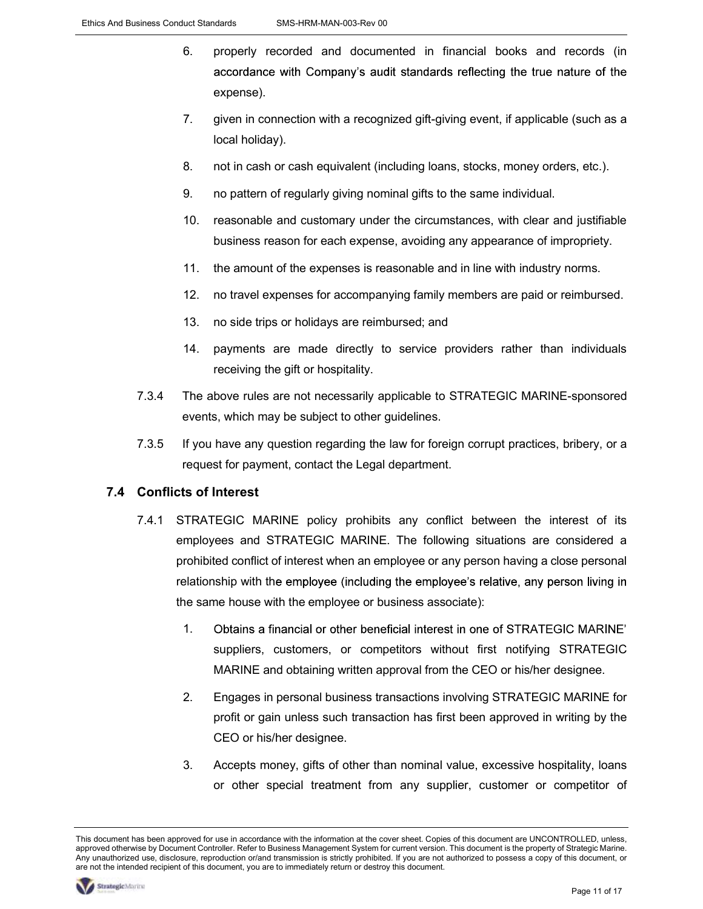- 6. properly recorded and documented in financial books and records (in accordance with Company's audit standards reflecting the true nature of the expense).
- 7. given in connection with a recognized gift-giving event, if applicable (such as a local holiday).
- 8. not in cash or cash equivalent (including loans, stocks, money orders, etc.).
- 9. no pattern of regularly giving nominal gifts to the same individual.
- 10. reasonable and customary under the circumstances, with clear and justifiable business reason for each expense, avoiding any appearance of impropriety.
- 11. the amount of the expenses is reasonable and in line with industry norms.
- 12. no travel expenses for accompanying family members are paid or reimbursed.
- 13. no side trips or holidays are reimbursed; and
- 14. payments are made directly to service providers rather than individuals receiving the gift or hospitality.
- 7.3.4 The above rules are not necessarily applicable to STRATEGIC MARINE-sponsored events, which may be subject to other guidelines.
- 7.3.5 If you have any question regarding the law for foreign corrupt practices, bribery, or a request for payment, contact the Legal department.

#### 7.4 Conflicts of Interest

- 7.4.1 STRATEGIC MARINE policy prohibits any conflict between the interest of its employees and STRATEGIC MARINE. The following situations are considered a prohibited conflict of interest when an employee or any person having a close personal relationship with the employee (including the employee's relative, any person living in the same house with the employee or business associate):
	- 1. Obtains a financial or other beneficial interest in one of STRATEGIC MARINE' suppliers, customers, or competitors without first notifying STRATEGIC MARINE and obtaining written approval from the CEO or his/her designee.
	- 2. Engages in personal business transactions involving STRATEGIC MARINE for profit or gain unless such transaction has first been approved in writing by the CEO or his/her designee.
	- 3. Accepts money, gifts of other than nominal value, excessive hospitality, loans or other special treatment from any supplier, customer or competitor of

This document has been approved for use in accordance with the information at the cover sheet. Copies of this document are UNCONTROLLED, unless, approved otherwise by Document Controller. Refer to Business Management System for current version. This document is the property of Strategic Marine. Any unauthorized use, disclosure, reproduction or/and transmission is strictly prohibited. If you are not authorized to possess a copy of this document, or are not the intended recipient of this document, you are to immediately return or destroy this document.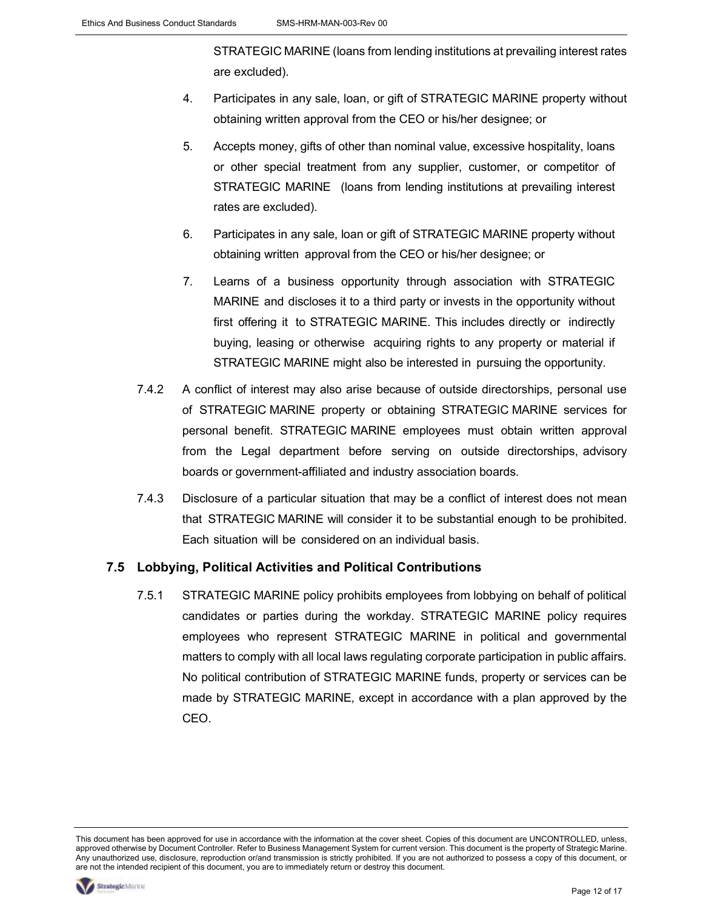STRATEGIC MARINE (loans from lending institutions at prevailing interest rates are excluded).

- 4. Participates in any sale, loan, or gift of STRATEGIC MARINE property without obtaining written approval from the CEO or his/her designee; or
- 5. Accepts money, gifts of other than nominal value, excessive hospitality, loans or other special treatment from any supplier, customer, or competitor of STRATEGIC MARINE (loans from lending institutions at prevailing interest rates are excluded).
- 6. Participates in any sale, loan or gift of STRATEGIC MARINE property without obtaining written approval from the CEO or his/her designee; or
- 7. Learns of a business opportunity through association with STRATEGIC MARINE and discloses it to a third party or invests in the opportunity without first offering it to STRATEGIC MARINE. This includes directly or indirectly buying, leasing or otherwise acquiring rights to any property or material if STRATEGIC MARINE might also be interested in pursuing the opportunity.
- 7.4.2 A conflict of interest may also arise because of outside directorships, personal use of STRATEGIC MARINE property or obtaining STRATEGIC MARINE services for personal benefit. STRATEGIC MARINE employees must obtain written approval from the Legal department before serving on outside directorships, advisory boards or government-affiliated and industry association boards.
- 7.4.3 Disclosure of a particular situation that may be a conflict of interest does not mean that STRATEGIC MARINE will consider it to be substantial enough to be prohibited. Each situation will be considered on an individual basis.

#### 7.5 Lobbying, Political Activities and Political Contributions

7.5.1 STRATEGIC MARINE policy prohibits employees from lobbying on behalf of political candidates or parties during the workday. STRATEGIC MARINE policy requires employees who represent STRATEGIC MARINE in political and governmental matters to comply with all local laws regulating corporate participation in public affairs. No political contribution of STRATEGIC MARINE funds, property or services can be made by STRATEGIC MARINE, except in accordance with a plan approved by the CEO.

This document has been approved for use in accordance with the information at the cover sheet. Copies of this document are UNCONTROLLED, unless, approved otherwise by Document Controller. Refer to Business Management System for current version. This document is the property of Strategic Marine. Any unauthorized use, disclosure, reproduction or/and transmission is strictly prohibited. If you are not authorized to possess a copy of this document, or are not the intended recipient of this document, you are to immediately return or destroy this document.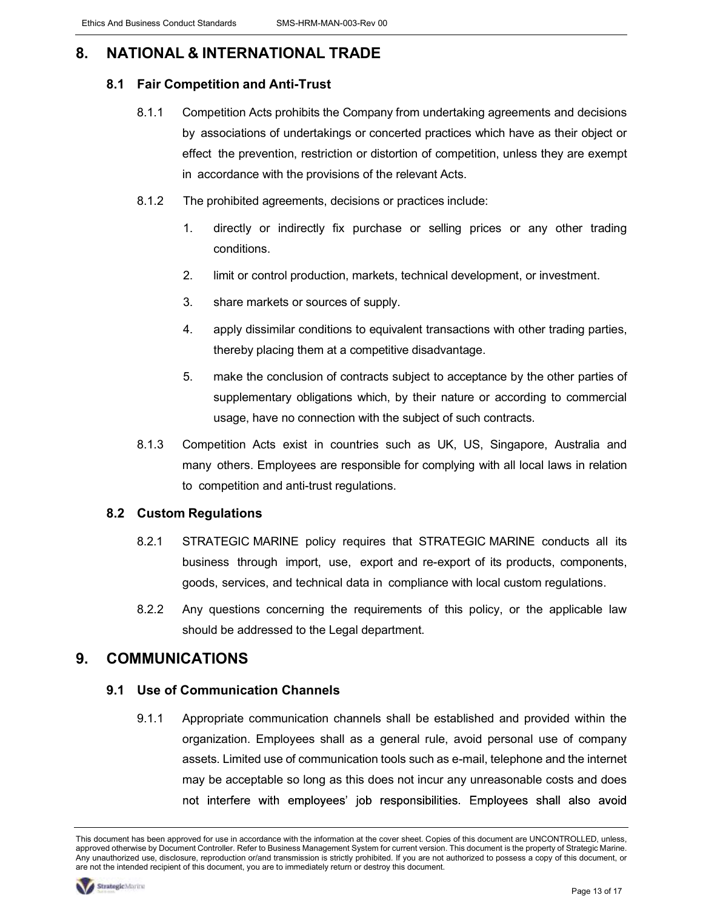## 8. NATIONAL & INTERNATIONAL TRADE

#### 8.1 Fair Competition and Anti-Trust

- 8.1.1 Competition Acts prohibits the Company from undertaking agreements and decisions by associations of undertakings or concerted practices which have as their object or effect the prevention, restriction or distortion of competition, unless they are exempt in accordance with the provisions of the relevant Acts.
- 8.1.2 The prohibited agreements, decisions or practices include:
	- 1. directly or indirectly fix purchase or selling prices or any other trading conditions.
	- 2. limit or control production, markets, technical development, or investment.
	- 3. share markets or sources of supply.
	- 4. apply dissimilar conditions to equivalent transactions with other trading parties, thereby placing them at a competitive disadvantage.
	- 5. make the conclusion of contracts subject to acceptance by the other parties of supplementary obligations which, by their nature or according to commercial usage, have no connection with the subject of such contracts.
- 8.1.3 Competition Acts exist in countries such as UK, US, Singapore, Australia and many others. Employees are responsible for complying with all local laws in relation to competition and anti-trust regulations.

#### 8.2 Custom Regulations

- 8.2.1 STRATEGIC MARINE policy requires that STRATEGIC MARINE conducts all its business through import, use, export and re-export of its products, components, goods, services, and technical data in compliance with local custom regulations.
- 8.2.2 Any questions concerning the requirements of this policy, or the applicable law should be addressed to the Legal department.

### 9. COMMUNICATIONS

#### 9.1 Use of Communication Channels

9.1.1 Appropriate communication channels shall be established and provided within the organization. Employees shall as a general rule, avoid personal use of company assets. Limited use of communication tools such as e-mail, telephone and the internet may be acceptable so long as this does not incur any unreasonable costs and does not interfere with employees' job responsibilities. Employees shall also avoid

This document has been approved for use in accordance with the information at the cover sheet. Copies of this document are UNCONTROLLED, unless, approved otherwise by Document Controller. Refer to Business Management System for current version. This document is the property of Strategic Marine. Any unauthorized use, disclosure, reproduction or/and transmission is strictly prohibited. If you are not authorized to possess a copy of this document, or are not the intended recipient of this document, you are to immediately return or destroy this document.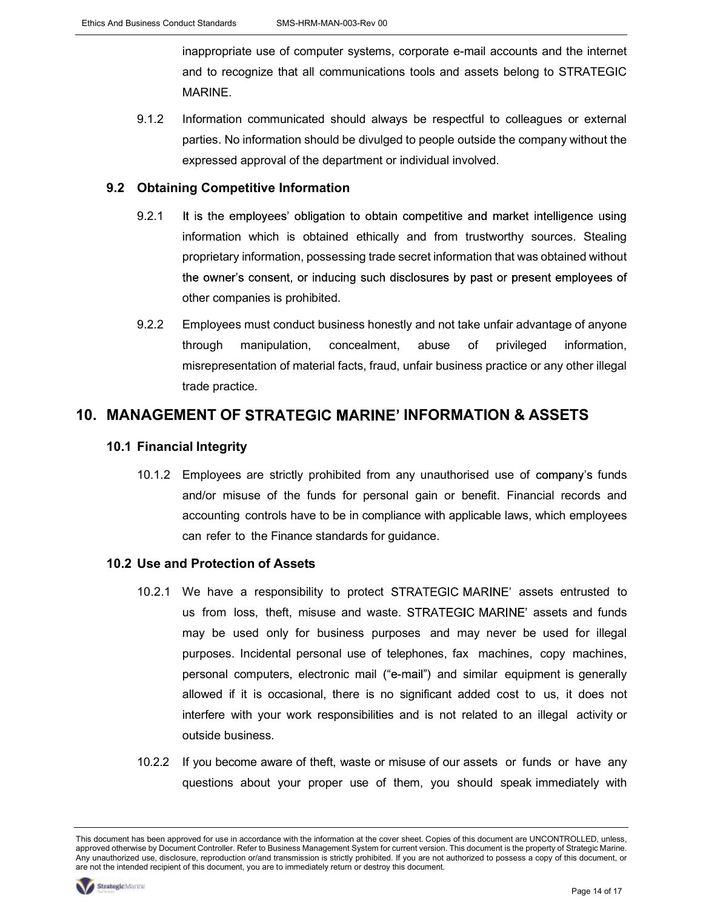inappropriate use of computer systems, corporate e-mail accounts and the internet and to recognize that all communications tools and assets belong to STRATEGIC MARINE.

9.1.2 Information communicated should always be respectful to colleagues or external parties. No information should be divulged to people outside the company without the expressed approval of the department or individual involved.

#### 9.2 Obtaining Competitive Information

- 9.2.1 It is the employees' obligation to obtain competitive and market intelligence using information which is obtained ethically and from trustworthy sources. Stealing proprietary information, possessing trade secret information that was obtained without the owner's consent, or inducing such disclosures by past or present employees of other companies is prohibited.
- 9.2.2 Employees must conduct business honestly and not take unfair advantage of anyone through manipulation, concealment, abuse of privileged information, misrepresentation of material facts, fraud, unfair business practice or any other illegal trade practice.

### 10. MANAGEMENT OF STRATEGIC MARINE' INFORMATION & ASSETS

#### 10.1 Financial Integrity

10.1.2 Employees are strictly prohibited from any unauthorised use of company's funds and/or misuse of the funds for personal gain or benefit. Financial records and accounting controls have to be in compliance with applicable laws, which employees can refer to the Finance standards for guidance.

#### 10.2 Use and Protection of Assets

- 10.2.1 We have a responsibility to protect STRATEGIC MARINE' assets entrusted to us from loss, theft, misuse and waste. STRATEGIC MARINE' assets and funds may be used only for business purposes and may never be used for illegal purposes. Incidental personal use of telephones, fax machines, copy machines, personal computers, electronic mail ("e-mail") and similar equipment is generally allowed if it is occasional, there is no significant added cost to us, it does not interfere with your work responsibilities and is not related to an illegal activity or outside business.
- 10.2.2 If you become aware of theft, waste or misuse of our assets or funds or have any questions about your proper use of them, you should speak immediately with

This document has been approved for use in accordance with the information at the cover sheet. Copies of this document are UNCONTROLLED, unless, approved otherwise by Document Controller. Refer to Business Management System for current version. This document is the property of Strategic Marine. Any unauthorized use, disclosure, reproduction or/and transmission is strictly prohibited. If you are not authorized to possess a copy of this document, or are not the intended recipient of this document, you are to immediately return or destroy this document.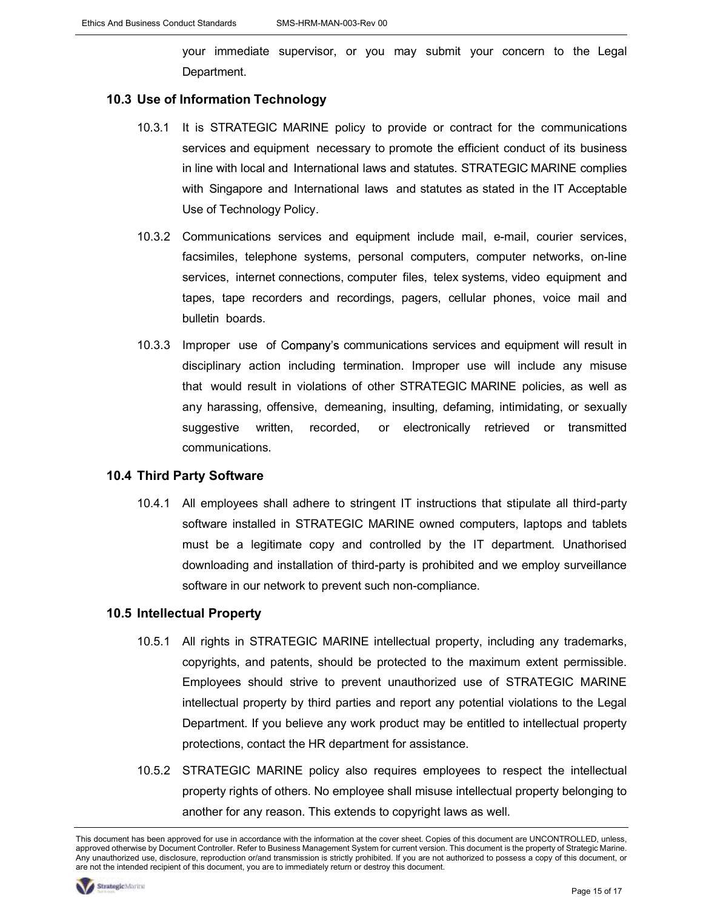your immediate supervisor, or you may submit your concern to the Legal Department.

#### 10.3 Use of Information Technology

- 10.3.1 It is STRATEGIC MARINE policy to provide or contract for the communications services and equipment necessary to promote the efficient conduct of its business in line with local and International laws and statutes. STRATEGIC MARINE complies with Singapore and International laws and statutes as stated in the IT Acceptable Use of Technology Policy.
- 10.3.2 Communications services and equipment include mail, e-mail, courier services, facsimiles, telephone systems, personal computers, computer networks, on-line services, internet connections, computer files, telex systems, video equipment and tapes, tape recorders and recordings, pagers, cellular phones, voice mail and bulletin boards.
- 10.3.3 Improper use of Company's communications services and equipment will result in disciplinary action including termination. Improper use will include any misuse that would result in violations of other STRATEGIC MARINE policies, as well as any harassing, offensive, demeaning, insulting, defaming, intimidating, or sexually suggestive written, recorded, or electronically retrieved or transmitted communications.

#### 10.4 Third Party Software

10.4.1 All employees shall adhere to stringent IT instructions that stipulate all third-party software installed in STRATEGIC MARINE owned computers, laptops and tablets must be a legitimate copy and controlled by the IT department. Unathorised downloading and installation of third-party is prohibited and we employ surveillance software in our network to prevent such non-compliance.

#### 10.5 Intellectual Property

- 10.5.1 All rights in STRATEGIC MARINE intellectual property, including any trademarks, copyrights, and patents, should be protected to the maximum extent permissible. Employees should strive to prevent unauthorized use of STRATEGIC MARINE intellectual property by third parties and report any potential violations to the Legal Department. If you believe any work product may be entitled to intellectual property protections, contact the HR department for assistance.
- 10.5.2 STRATEGIC MARINE policy also requires employees to respect the intellectual property rights of others. No employee shall misuse intellectual property belonging to another for any reason. This extends to copyright laws as well.

This document has been approved for use in accordance with the information at the cover sheet. Copies of this document are UNCONTROLLED, unless, approved otherwise by Document Controller. Refer to Business Management System for current version. This document is the property of Strategic Marine. Any unauthorized use, disclosure, reproduction or/and transmission is strictly prohibited. If you are not authorized to possess a copy of this document, or are not the intended recipient of this document, you are to immediately return or destroy this document.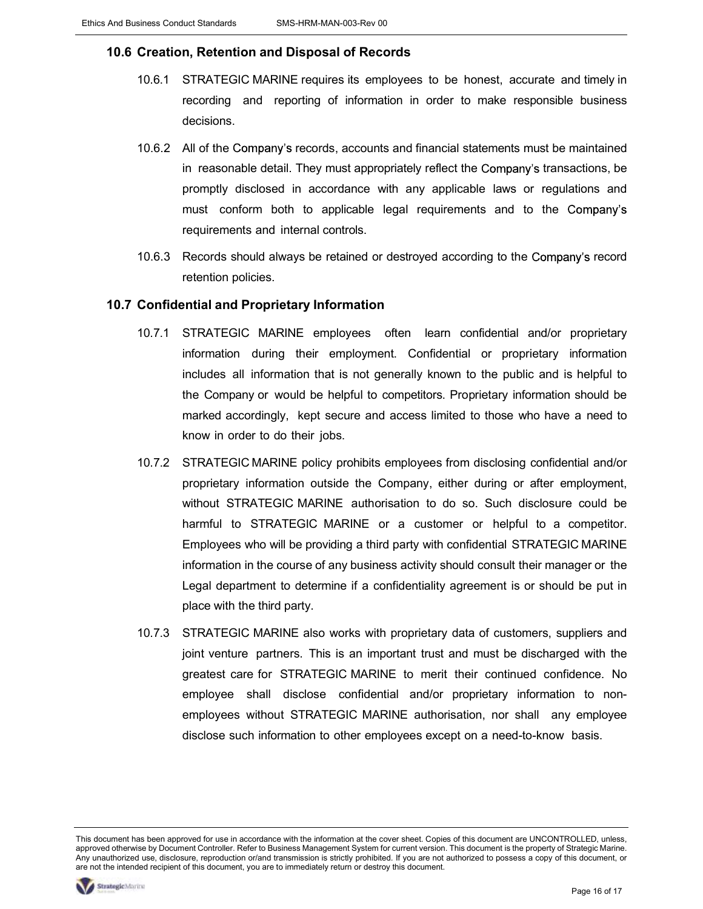#### 10.6 Creation, Retention and Disposal of Records

- 10.6.1 STRATEGIC MARINE requires its employees to be honest, accurate and timely in recording and reporting of information in order to make responsible business decisions.
- 10.6.2 All of the Company's records, accounts and financial statements must be maintained in reasonable detail. They must appropriately reflect the Company's transactions, be promptly disclosed in accordance with any applicable laws or regulations and must conform both to applicable legal requirements and to the Company's requirements and internal controls.
- 10.6.3 Records should always be retained or destroyed according to the Company's record retention policies.

#### 10.7 Confidential and Proprietary Information

- 10.7.1 STRATEGIC MARINE employees often learn confidential and/or proprietary information during their employment. Confidential or proprietary information includes all information that is not generally known to the public and is helpful to the Company or would be helpful to competitors. Proprietary information should be marked accordingly, kept secure and access limited to those who have a need to know in order to do their jobs.
- 10.7.2 STRATEGIC MARINE policy prohibits employees from disclosing confidential and/or proprietary information outside the Company, either during or after employment, without STRATEGIC MARINE authorisation to do so. Such disclosure could be harmful to STRATEGIC MARINE or a customer or helpful to a competitor. Employees who will be providing a third party with confidential STRATEGIC MARINE information in the course of any business activity should consult their manager or the Legal department to determine if a confidentiality agreement is or should be put in place with the third party.
- 10.7.3 STRATEGIC MARINE also works with proprietary data of customers, suppliers and joint venture partners. This is an important trust and must be discharged with the greatest care for STRATEGIC MARINE to merit their continued confidence. No employee shall disclose confidential and/or proprietary information to nonemployees without STRATEGIC MARINE authorisation, nor shall any employee disclose such information to other employees except on a need-to-know basis.

This document has been approved for use in accordance with the information at the cover sheet. Copies of this document are UNCONTROLLED, unless, approved otherwise by Document Controller. Refer to Business Management System for current version. This document is the property of Strategic Marine. Any unauthorized use, disclosure, reproduction or/and transmission is strictly prohibited. If you are not authorized to possess a copy of this document, or are not the intended recipient of this document, you are to immediately return or destroy this document.